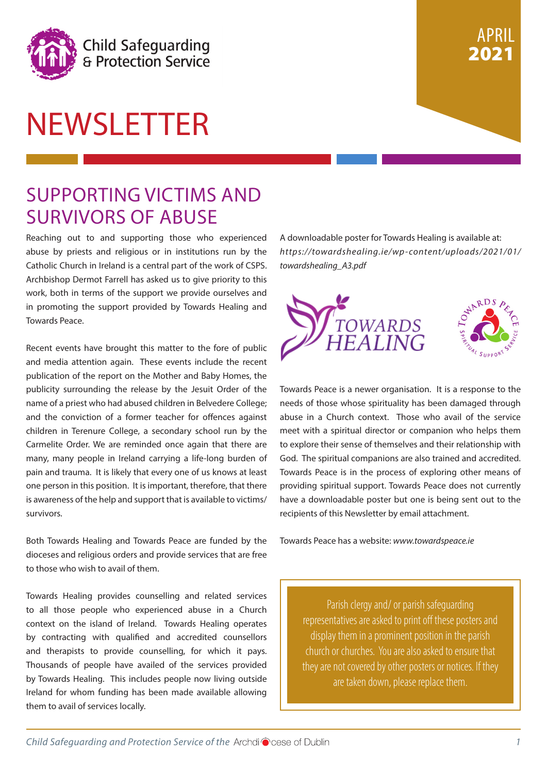

# NEWSLETTER

### SUPPORTING VICTIMS AND SURVIVORS OF ABUSE

Reaching out to and supporting those who experienced abuse by priests and religious or in institutions run by the Catholic Church in Ireland is a central part of the work of CSPS. Archbishop Dermot Farrell has asked us to give priority to this work, both in terms of the support we provide ourselves and in promoting the support provided by Towards Healing and Towards Peace.

Recent events have brought this matter to the fore of public and media attention again. These events include the recent publication of the report on the Mother and Baby Homes, the publicity surrounding the release by the Jesuit Order of the name of a priest who had abused children in Belvedere College; and the conviction of a former teacher for offences against children in Terenure College, a secondary school run by the Carmelite Order. We are reminded once again that there are many, many people in Ireland carrying a life-long burden of pain and trauma. It is likely that every one of us knows at least one person in this position. It is important, therefore, that there is awareness of the help and support that is available to victims/ survivors.

Both Towards Healing and Towards Peace are funded by the dioceses and religious orders and provide services that are free to those who wish to avail of them.

Towards Healing provides counselling and related services to all those people who experienced abuse in a Church context on the island of Ireland. Towards Healing operates by contracting with qualified and accredited counsellors and therapists to provide counselling, for which it pays. Thousands of people have availed of the services provided by Towards Healing. This includes people now living outside Ireland for whom funding has been made available allowing them to avail of services locally.

A downloadable poster for Towards Healing is available at: *https://towardshealing.ie/wp-content/uploads/2021/01/ towardshealing\_A3.pdf*

APRIL

2021



Towards Peace is a newer organisation. It is a response to the needs of those whose spirituality has been damaged through abuse in a Church context. Those who avail of the service meet with a spiritual director or companion who helps them to explore their sense of themselves and their relationship with God. The spiritual companions are also trained and accredited. Towards Peace is in the process of exploring other means of providing spiritual support. Towards Peace does not currently have a downloadable poster but one is being sent out to the recipients of this Newsletter by email attachment.

Towards Peace has a website: *www.towardspeace.ie*

Parish clergy and/ or parish safeguarding representatives are asked to print off these posters and display them in a prominent position in the parish church or churches. You are also asked to ensure that they are not covered by other posters or notices. If they are taken down, please replace them.

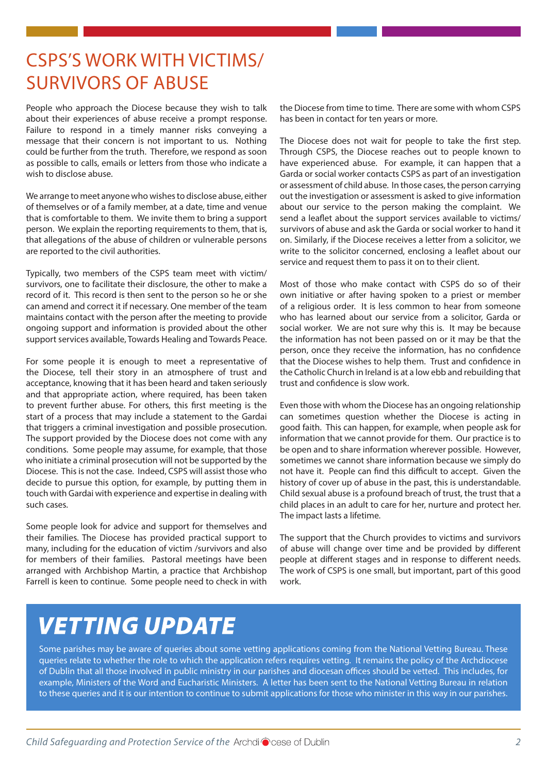### CSPS'S WORK WITH VICTIMS/ SURVIVORS OF ABUSE

People who approach the Diocese because they wish to talk about their experiences of abuse receive a prompt response. Failure to respond in a timely manner risks conveying a message that their concern is not important to us. Nothing could be further from the truth. Therefore, we respond as soon as possible to calls, emails or letters from those who indicate a wish to disclose abuse.

We arrange to meet anyone who wishes to disclose abuse, either of themselves or of a family member, at a date, time and venue that is comfortable to them. We invite them to bring a support person. We explain the reporting requirements to them, that is, that allegations of the abuse of children or vulnerable persons are reported to the civil authorities.

Typically, two members of the CSPS team meet with victim/ survivors, one to facilitate their disclosure, the other to make a record of it. This record is then sent to the person so he or she can amend and correct it if necessary. One member of the team maintains contact with the person after the meeting to provide ongoing support and information is provided about the other support services available, Towards Healing and Towards Peace.

For some people it is enough to meet a representative of the Diocese, tell their story in an atmosphere of trust and acceptance, knowing that it has been heard and taken seriously and that appropriate action, where required, has been taken to prevent further abuse. For others, this first meeting is the start of a process that may include a statement to the Gardai that triggers a criminal investigation and possible prosecution. The support provided by the Diocese does not come with any conditions. Some people may assume, for example, that those who initiate a criminal prosecution will not be supported by the Diocese. This is not the case. Indeed, CSPS will assist those who decide to pursue this option, for example, by putting them in touch with Gardai with experience and expertise in dealing with such cases.

Some people look for advice and support for themselves and their families. The Diocese has provided practical support to many, including for the education of victim /survivors and also for members of their families. Pastoral meetings have been arranged with Archbishop Martin, a practice that Archbishop Farrell is keen to continue. Some people need to check in with

the Diocese from time to time. There are some with whom CSPS has been in contact for ten years or more.

The Diocese does not wait for people to take the first step. Through CSPS, the Diocese reaches out to people known to have experienced abuse. For example, it can happen that a Garda or social worker contacts CSPS as part of an investigation or assessment of child abuse. In those cases, the person carrying out the investigation or assessment is asked to give information about our service to the person making the complaint. We send a leaflet about the support services available to victims/ survivors of abuse and ask the Garda or social worker to hand it on. Similarly, if the Diocese receives a letter from a solicitor, we write to the solicitor concerned, enclosing a leaflet about our service and request them to pass it on to their client.

Most of those who make contact with CSPS do so of their own initiative or after having spoken to a priest or member of a religious order. It is less common to hear from someone who has learned about our service from a solicitor, Garda or social worker. We are not sure why this is. It may be because the information has not been passed on or it may be that the person, once they receive the information, has no confidence that the Diocese wishes to help them. Trust and confidence in the Catholic Church in Ireland is at a low ebb and rebuilding that trust and confidence is slow work.

Even those with whom the Diocese has an ongoing relationship can sometimes question whether the Diocese is acting in good faith. This can happen, for example, when people ask for information that we cannot provide for them. Our practice is to be open and to share information wherever possible. However, sometimes we cannot share information because we simply do not have it. People can find this difficult to accept. Given the history of cover up of abuse in the past, this is understandable. Child sexual abuse is a profound breach of trust, the trust that a child places in an adult to care for her, nurture and protect her. The impact lasts a lifetime.

The support that the Church provides to victims and survivors of abuse will change over time and be provided by different people at different stages and in response to different needs. The work of CSPS is one small, but important, part of this good work.

## **VETTING UPDATE**

Some parishes may be aware of queries about some vetting applications coming from the National Vetting Bureau. These queries relate to whether the role to which the application refers requires vetting. It remains the policy of the Archdiocese of Dublin that all those involved in public ministry in our parishes and diocesan offices should be vetted. This includes, for example, Ministers of the Word and Eucharistic Ministers. A letter has been sent to the National Vetting Bureau in relation to these queries and it is our intention to continue to submit applications for those who minister in this way in our parishes.